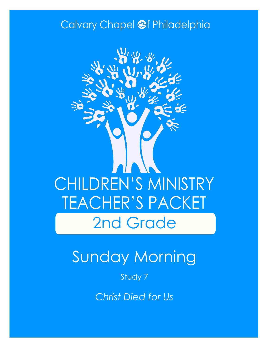### Calvary Chapel @f Philadelphia



# Sunday Morning

Study 7

*Christ Died for Us*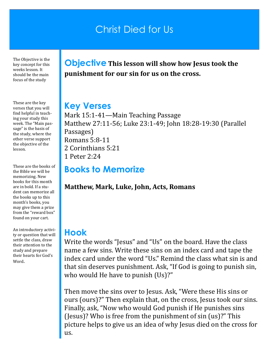### Christ Died for Us

The Objective is the key concept for this weeks lesson. It should be the main focus of the study

These are the key verses that you will find helpful in teaching your study this week. The "Main passage" is the basis of the study, where the other verse support the objective of the lesson.

These are the books of the Bible we will be memorizing. New books for this month are in bold. If a student can memorize all the books up to this month's books, you may give them a prize from the "reward box" found on your cart.

An introductory activity or question that will settle the class, draw their attention to the study and prepare their hearts for God's Word.

**Objective This lesson will show how Jesus took the punishment for our sin for us on the cross.**

#### **Key Verses**

Mark 15:1-41—Main Teaching Passage Matthew 27:11-56; Luke 23:1-49; John 18:28-19:30 (Parallel Passages) Romans 5:8-11 2 Corinthians 5:21 1 Peter 2:24

### **Books to Memorize**

**Matthew, Mark, Luke, John, Acts, Romans**

#### **Hook**

Write the words "Jesus" and "Us" on the board. Have the class name a few sins. Write these sins on an index card and tape the index card under the word "Us." Remind the class what sin is and that sin deserves punishment. Ask, "If God is going to punish sin, who would He have to punish (Us)?"

Then move the sins over to Jesus. Ask, "Were these His sins or ours (ours)?" Then explain that, on the cross, Jesus took our sins. Finally, ask, "Now who would God punish if He punishes sins (Jesus)? Who is free from the punishment of sin (us)?" This picture helps to give us an idea of why Jesus died on the cross for us.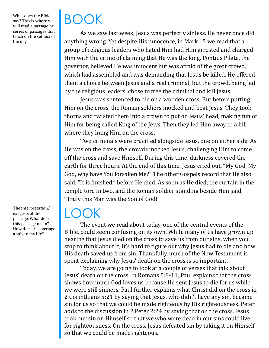What does the Bible say? This is where we will read a passage or series of passages that teach on the subject of the day.

The interpretation/ exegesis of the passage. What does this passage mean? How does this passage apply to my life?

## BOOK

As we saw last week, Jesus was perfectly sinless. He never once did anything wrong. Yet despite His innocence, in Mark 15 we read that a group of religious leaders who hated Him had Him arrested and charged Him with the crime of claiming that He was the king. Pontius Pilate, the governor, believed He was innocent but was afraid of the great crowd, which had assembled and was demanding that Jesus be killed. He offered them a choice between Jesus and a real criminal, but the crowd, being led by the religious leaders, chose to free the criminal and kill Jesus.

Jesus was sentenced to die on a wooden cross. But before putting Him on the cross, the Roman soldiers mocked and beat Jesus. They took thorns and twisted them into a crown to put on Jesus' head, making fun of Him for being called King of the Jews. Then they led Him away to a hill where they hung Him on the cross.

Two criminals were crucified alongside Jesus, one on either side. As He was on the cross, the crowds mocked Jesus, challenging Him to come off the cross and save Himself. During this time, darkness covered the earth for three hours. At the end of this time, Jesus cried out, "My God, My God, why have You forsaken Me?" The other Gospels record that He also said, "It is finished," before He died. As soon as He died, the curtain in the temple tore in two, and the Roman soldier standing beside Him said, "Truly this Man was the Son of God!"

### LOCK

The event we read about today, one of the central events of the Bible, could seem confusing on its own. While many of us have grown up hearing that Jesus died on the cross to save us from our sins, when you stop to think about it, it's hard to figure out why Jesus had to die and how His death saved us from sin. Thankfully, much of the New Testament is spent explaining why Jesus' death on the cross is so important.

Today, we are going to look at a couple of verses that talk about Jesus' death on the cross. In Romans 5:8-11, Paul explains that the cross shows how much God loves us because He sent Jesus to die for us while we were still sinners. Paul further explains what Christ did on the cross in 2 Corinthians 5:21 by saying that Jesus, who didn't have any sin, became sin for us so that we could be made righteous by His righteousness. Peter adds to the discussion in 2 Peter 2:24 by saying that on the cross, Jesus took our sin on Himself so that we who were dead in our sins could live for righteousness. On the cross, Jesus defeated sin by taking it on Himself so that we could be made righteous.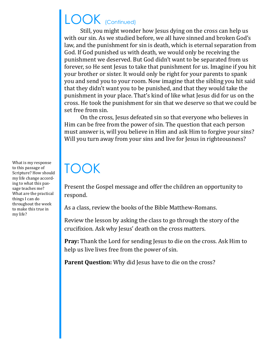### LOOK (Continued)

Still, you might wonder how Jesus dying on the cross can help us with our sin. As we studied before, we all have sinned and broken God's law, and the punishment for sin is death, which is eternal separation from God. If God punished us with death, we would only be receiving the punishment we deserved. But God didn't want to be separated from us forever, so He sent Jesus to take that punishment for us. Imagine if you hit your brother or sister. It would only be right for your parents to spank you and send you to your room. Now imagine that the sibling you hit said that they didn't want you to be punished, and that they would take the punishment in your place. That's kind of like what Jesus did for us on the cross. He took the punishment for sin that we deserve so that we could be set free from sin.

On the cross, Jesus defeated sin so that everyone who believes in Him can be free from the power of sin. The question that each person must answer is, will you believe in Him and ask Him to forgive your sins? Will you turn away from your sins and live for Jesus in righteousness?

## TOOK

Present the Gospel message and offer the children an opportunity to respond.

As a class, review the books of the Bible Matthew-Romans.

Review the lesson by asking the class to go through the story of the crucifixion. Ask why Jesus' death on the cross matters.

**Pray:** Thank the Lord for sending Jesus to die on the cross. Ask Him to help us live lives free from the power of sin.

**Parent Question:** Why did Jesus have to die on the cross?

What is my response to this passage of Scripture? How should my life change according to what this passage teaches me? What are the practical things I can do throughout the week to make this true in my life?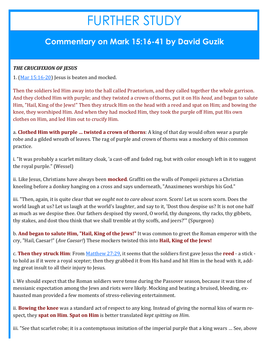## FURTHER STUDY

### **Commentary on Mark 15:16-41 by David Guzik**

#### *THE CRUCIFIXION OF JESUS*

1.  $(Mar 15:16-20)$  $(Mar 15:16-20)$  Jesus is beaten and mocked.

Then the soldiers led Him away into the hall called Praetorium, and they called together the whole garrison. And they clothed Him with purple; and they twisted a crown of thorns, put it on His *head*, and began to salute Him, "Hail, King of the Jews!" Then they struck Him on the head with a reed and spat on Him; and bowing the knee, they worshiped Him. And when they had mocked Him, they took the purple off Him, put His own clothes on Him, and led Him out to crucify Him.

a. **Clothed Him with purple … twisted a crown of thorns**: A king of that day would often wear a purple robe and a gilded wreath of leaves. The rag of purple and crown of thorns was a mockery of this common practice.

i. "It was probably a scarlet military cloak, 'a cast-off and faded rag, but with color enough left in it to suggest the royal purple." (Wessel)

ii. Like Jesus, Christians have always been **mocked**. Graffiti on the walls of Pompeii pictures a Christian kneeling before a donkey hanging on a cross and says underneath, "Anaximenes worships his God."

iii. "Then, again, it is quite clear that *we ought not to care about scorn*. Scorn! Let us scorn scorn. Does the world laugh at us? Let us laugh at the world's laughter, and say to it, 'Dost thou despise us? It is not one half as much as we despise thee. Our fathers despised thy sword, O world, thy dungeons, thy racks, thy gibbets, thy stakes, and dost thou think that we shall tremble at thy scoffs, and jeers?'" (Spurgeon)

b. **And began to salute Him, "Hail, King of the Jews!"** It was common to greet the Roman emperor with the cry, "Hail, Caesar!" (*Ave Caesar!*) These mockers twisted this into **Hail, King of the Jews!**

c. **Then they struck Him**: From [Matthew 27:29,](https://www.blueletterbible.org/kjv/matthew/27/29/s_956029) it seems that the soldiers first gave Jesus the **reed** - a stick to hold as if it were a royal scepter; then they grabbed it from His hand and hit Him in the head with it, adding great insult to all their injury to Jesus.

i. We should expect that the Roman soldiers were tense during the Passover season, because it was time of messianic expectation among the Jews and riots were likely. Mocking and beating a bruised, bleeding, exhausted man provided a few moments of stress-relieving entertainment.

ii. **Bowing the knee** was a standard act of respect to any king. Instead of giving the normal kiss of warm respect, they **spat on Him**. **Spat on Him** is better translated *kept spitting on Him*.

iii. "See that scarlet robe; it is a contemptuous imitation of the imperial purple that a king wears … See, above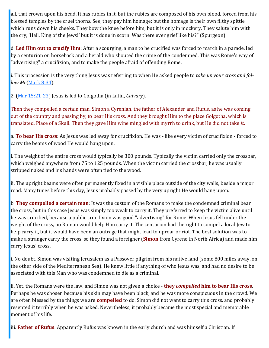all, that crown upon his head. It has rubies in it, but the rubies are composed of his own blood, forced from his blessed temples by the cruel thorns. See, they pay him homage; but the homage is their own filthy spittle which runs down his cheeks. They bow the knee before him, but it is only in mockery. They salute him with the cry, 'Hail, King of the Jews!' but it is done in scorn. Was there ever grief like his?" (Spurgeon)

d. **Led Him out to crucify Him**: After a scourging, a man to be crucified was forced to march in a parade, led by a centurion on horseback and a herald who shouted the crime of the condemned. This was Rome's way of "advertising" a crucifixion, and to make the people afraid of offending Rome.

i. This procession is the very thing Jesus was referring to when He asked people to *take up your cross and follow Me*([Mark 8:34\).](https://www.blueletterbible.org/kjv/mark/8/34/s_965034)

2. ([Mar 15:21](https://www.blueletterbible.org/kjv/mark/15/21-23/s_972021)-23) Jesus is led to Golgotha (in Latin, *Calvary*).

Then they compelled a certain man, Simon a Cyrenian, the father of Alexander and Rufus, as he was coming out of the country and passing by, to bear His cross. And they brought Him to the place Golgotha, which is translated, Place of a Skull. Then they gave Him wine mingled with myrrh to drink, but He did not take *it*.

a. **To bear His cross**: As Jesus was led away for crucifixion, He was - like every victim of crucifixion - forced to carry the beams of wood He would hang upon.

i. The weight of the entire cross would typically be 300 pounds. Typically the victim carried only the crossbar, which weighed anywhere from 75 to 125 pounds. When the victim carried the crossbar, he was usually stripped naked and his hands were often tied to the wood.

ii. The upright beams were often permanently fixed in a visible place outside of the city walls, beside a major road. Many times before this day, Jesus probably passed by the very upright He would hang upon.

b. **They compelled a certain man**: It was the custom of the Romans to make the condemned criminal bear the cross, but in this case Jesus was simply too weak to carry it. They preferred to keep the victim alive until he was crucified, because a public crucifixion was good "advertising" for Rome. When Jesus fell under the weight of the cross, no Roman would help Him carry it. The centurion had the right to compel a local Jew to help carry it, but it would have been an outrage that might lead to uproar or riot. The best solution was to make a stranger carry the cross, so they found a foreigner (**Simon** from Cyrene in North Africa) and made him carry Jesus' cross.

i. No doubt, Simon was visiting Jerusalem as a Passover pilgrim from his native land (some 800 miles away, on the other side of the Mediterranean Sea). He knew little if anything of who Jesus was, and had no desire to be associated with this Man who was condemned to die as a criminal.

ii. Yet, the Romans were the law, and Simon was not given a choice - **they** *compelled* **him to bear His cross**. Perhaps he was chosen because his skin may have been black, and he was more conspicuous in the crowd. We are often blessed by the things we are **compelled** to do. Simon did not want to carry this cross, and probably resented it terribly when he was asked. Nevertheless, it probably became the most special and memorable moment of his life.

iii. **Father of Rufus**: Apparently Rufus was known in the early church and was himself a Christian. If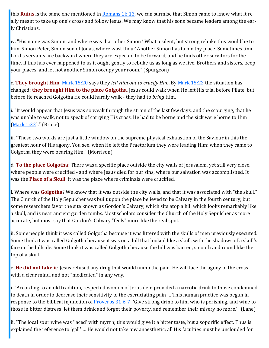this **Rufus** is the same one mentioned in [Romans 16:13,](https://www.blueletterbible.org/kjv/romans/16/13/s_1062013) we can surmise that Simon came to know what it really meant to take up one's cross and follow Jesus. We may know that his sons became leaders among the early Christians.

iv. "His name was Simon: and where was that other Simon? What a silent, but strong rebuke this would he to him. Simon Peter, Simon son of Jonas, where wast thou? Another Simon has taken thy place. Sometimes time Lord's servants are backward where they are expected to be forward, and he finds other servitors for the time. If this has ever happened to us it ought gently to rebuke us as long as we live. Brothers and sisters, keep your places, and let not another Simon occupy your room." (Spurgeon)

c. **They brought Him**: [Mark 15:20](https://www.blueletterbible.org/kjv/mark/15/20/s_972020) says they *led Him out to crucify Him*. By [Mark 15:22](https://www.blueletterbible.org/kjv/mark/15/22/s_972022) the situation has changed: **they brought Him to the place Golgotha**. Jesus could walk when He left His trial before Pilate, but before He reached Golgotha He could hardly walk - they had to *bring* Him.

i. "It would appear that Jesus was so weak through the strain of the last few days, and the scourging, that he was unable to walk, not to speak of carrying His cross. He had to be borne and the sick were borne to Him [\(Mark 1:32\)](https://www.blueletterbible.org/kjv/mark/1/32/s_958032)." (Bruce)

ii. "These two words are just a little window on the supreme physical exhaustion of the Saviour in this the greatest hour of His agony. You see, when He left the Praetorium they were leading Him; when they came to Golgotha they were bearing Him." (Morrison)

d. **To the place Golgotha**: There was a specific place outside the city walls of Jerusalem, yet still very close, where people were crucified - and where Jesus died for our sins, where our salvation was accomplished. It was the **Place of a Skull**; it was the place where criminals were crucified.

i. Where was **Golgotha**? We know that it was outside the city walls, and that it was associated with "the skull." The Church of the Holy Sepulcher was built upon the place believed to be Calvary in the fourth century, but some researchers favor the site known as Gordon's Calvary, which sits atop a hill which looks remarkably like a skull, and is near ancient garden tombs. Most scholars consider the Church of the Holy Sepulcher as more accurate, but most say that Gordon's Calvary "feels" more like the real spot.

ii. Some people think it was called Golgotha because it was littered with the skulls of men previously executed. Some think it was called Golgotha because it was on a hill that looked like a skull, with the shadows of a skull's face in the hillside. Some think it was called Golgotha because the hill was barren, smooth and round like the top of a skull.

e. **He did not take it**: Jesus refused any drug that would numb the pain. He will face the agony of the cross with a clear mind, and not "medicated" in any way.

i. "According to an old tradition, respected women of Jerusalem provided a narcotic drink to those condemned to death in order to decrease their sensitivity to the excruciating pain … This human practice was begun in response to the biblical injunction of **[Proverbs 31:6](https://www.blueletterbible.org/kjv/proverbs/31/6-7/s_659006)-7**: 'Give strong drink to him who is perishing, and wine to those in bitter distress; let them drink and forget their poverty, and remember their misery no more.'" (Lane)

ii. "The local sour wine was 'laced' with myrrh; this would give it a bitter taste, but a soporific effect. Thus is explained the reference to 'gall' … He would not take any anaesthetic; all His faculties must be unclouded for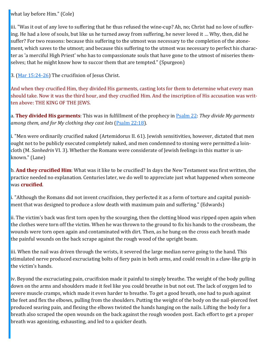what lay before Him." (Cole)

iii. "Was it out of any love to suffering that he thus refused the wine-cup? Ah, no; Christ had no love of suffering. He had a love of souls, but like us he turned away from suffering, he never loved it … Why, then, did he suffer? For two reasons: because this suffering to the utmost was necessary to the completion of the atonement, which saves to the utmost; and because this suffering to the utmost was necessary to perfect his character as 'a merciful High Priest' who has to compassionate souls that have gone to the utmost of miseries themselves; that he might know how to succor them that are tempted." (Spurgeon)

3. ([Mar 15:24](https://www.blueletterbible.org/kjv/mark/15/24-26/s_972024)-26) The crucifixion of Jesus Christ.

And when they crucified Him, they divided His garments, casting lots for them to determine what every man should take. Now it was the third hour, and they crucified Him. And the inscription of His accusation was written above: THE KING OF THE JEWS.

a. **They divided His garments**: This was in fulfillment of the prophecy in [Psalm 22:](https://www.blueletterbible.org/kjv/psalms/22/1-31/s_500001) *They divide My garments among them, and for My clothing they cast lots* ([Psalm 22:18\).](https://www.blueletterbible.org/kjv/psalms/22/18/s_500018)

i. "Men were ordinarily crucified naked (Artemidorus II. 61). Jewish sensitivities, however, dictated that men ought not to be publicly executed completely naked, and men condemned to stoning were permitted a loincloth (M. *Sanhedrin* VI. 3). Whether the Romans were considerate of Jewish feelings in this matter is unknown." (Lane)

b. **And they crucified Him**: What was it like to be crucified? In days the New Testament was first written, the practice needed no explanation. Centuries later, we do well to appreciate just what happened when someone was **crucified**.

i. "Although the Romans did not invent crucifixion, they perfected it as a form of torture and capital punishment that was designed to produce a slow death with maximum pain and suffering." (Edwards)

ii. The victim's back was first torn open by the scourging, then the clotting blood was ripped open again when the clothes were torn off the victim. When he was thrown to the ground to fix his hands to the crossbeam, the wounds were torn open again and contaminated with dirt. Then, as he hung on the cross each breath made the painful wounds on the back scrape against the rough wood of the upright beam.

iii. When the nail was driven through the wrists, it severed the large median nerve going to the hand. This stimulated nerve produced excruciating bolts of fiery pain in both arms, and could result in a claw-like grip in the victim's hands.

iv. Beyond the excruciating pain, crucifixion made it painful to simply breathe. The weight of the body pulling down on the arms and shoulders made it feel like you could breathe in but not out. The lack of oxygen led to severe muscle cramps, which made it even harder to breathe. To get a good breath, one had to push against the feet and flex the elbows, pulling from the shoulders. Putting the weight of the body on the nail-pierced feet produced searing pain, and flexing the elbows twisted the hands hanging on the nails. Lifting the body for a breath also scraped the open wounds on the back against the rough wooden post. Each effort to get a proper breath was agonizing, exhausting, and led to a quicker death.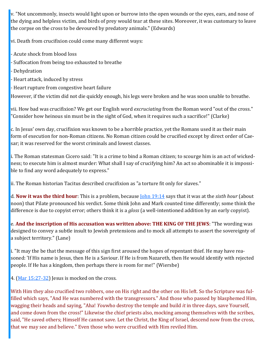v. "Not uncommonly, insects would light upon or burrow into the open wounds or the eyes, ears, and nose of the dying and helpless victim, and birds of prey would tear at these sites. Moreover, it was customary to leave the corpse on the cross to be devoured by predatory animals." (Edwards)

vi. Death from crucifixion could come many different ways:

- Acute shock from blood loss
- Suffocation from being too exhausted to breathe
- Dehydration
- Heart attack, induced by stress
- Heart rupture from congestive heart failure

However, if the victim did not die quickly enough, his legs were broken and he was soon unable to breathe.

vii. How bad was crucifixion? We get our English word *excruciating* from the Roman word "out of the cross." "Consider how heinous sin must be in the sight of God, when it requires such a sacrifice!" (Clarke)

c. In Jesus' own day, crucifixion was known to be a horrible practice, yet the Romans used it as their main form of execution for non-Roman citizens. No Roman citizen could be crucified except by direct order of Caesar; it was reserved for the worst criminals and lowest classes.

i. The Roman statesman Cicero said: "It is a crime to bind a Roman citizen; to scourge him is an act of wickedness; to execute him is almost murder: What shall I say of crucifying him? An act so abominable it is impossible to find any word adequately to express."

ii. The Roman historian Tacitus described crucifixion as "a torture fit only for slaves."

d. **Now it was the third hour**: This is a problem, because [John 19:14](https://www.blueletterbible.org/kjv/john/19/14/s_1016014) says that it was at the *sixth hour* (about noon) that Pilate pronounced his verdict. Some think John and Mark counted time differently; some think the difference is due to copyist error; others think it is a *gloss* (a well-intentioned addition by an early copyist).

e. **And the inscription of His accusation was written above: THE KING OF THE JEWS**: "The wording was designed to convey a subtle insult to Jewish pretensions and to mock all attempts to assert the sovereignty of a subject territory." (Lane)

i. "It may the be that the message of this sign first aroused the hopes of repentant thief. He may have reasoned: 'If His name is Jesus, then He is a Saviour. If He is from Nazareth, then He would identify with rejected people. If He has a kingdom, then perhaps there is room for me!" (Wiersbe)

4. ([Mar 15:27](https://www.blueletterbible.org/kjv/mark/15/27-32/s_972027)-32) Jesus is mocked on the cross.

With Him they also crucified two robbers, one on His right and the other on His left. So the Scripture was fulfilled which says, "And He was numbered with the transgressors." And those who passed by blasphemed Him, wagging their heads and saying, "Aha! *You*who destroy the temple and build *it* in three days, save Yourself, and come down from the cross!" Likewise the chief priests also, mocking among themselves with the scribes, said, "He saved others; Himself He cannot save. Let the Christ, the King of Israel, descend now from the cross, that we may see and believe." Even those who were crucified with Him reviled Him.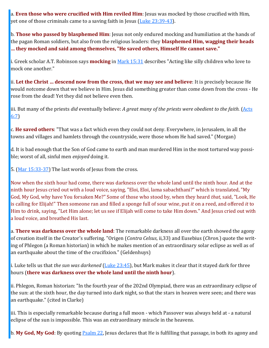a. **Even those who were crucified with Him reviled Him**: Jesus was mocked by those crucified with Him, yet one of those criminals came to a saving faith in Jesus ([Luke 23:39](https://www.blueletterbible.org/kjv/luke/23/39-43/s_996039)-43).

b. **Those who passed by blasphemed Him**: Jesus not only endured mocking and humiliation at the hands of the pagan Roman soldiers, but also from the religious leaders: they **blasphemed Him, wagging their heads … they mocked and said among themselves, "He saved others, Himself He cannot save."**

i. Greek scholar A.T. Robinson says **mocking** in [Mark 15:31](https://www.blueletterbible.org/kjv/mark/15/31/s_972031) describes "Acting like silly children who love to mock one another."

ii. **Let the Christ … descend now from the cross, that we may see and believe**: It is precisely because He would *not*come down that we believe in Him. Jesus did something greater than come down from the cross - He rose from the dead! Yet they did not believe even then.

iii. But many of the priests *did* eventually believe: *A great many of the priests were obedient to the faith.* [\(Acts](https://www.blueletterbible.org/kjv/acts/6/7/s_1024007)  [6:7\)](https://www.blueletterbible.org/kjv/acts/6/7/s_1024007)

c. **He saved others**: "That was a fact which even they could not deny. Everywhere, in Jerusalem, in all the towns and villages and hamlets through the countryside, were those whom He had saved." (Morgan)

d. It is bad enough that the Son of God came to earth and man murdered Him in the most tortured way possible; worst of all, sinful men *enjoyed* doing it.

5. ([Mar 15:33](https://www.blueletterbible.org/kjv/mark/15/33-37/s_972033)-37) The last words of Jesus from the cross.

Now when the sixth hour had come, there was darkness over the whole land until the ninth hour. And at the ninth hour Jesus cried out with a loud voice, saying, "Eloi, Eloi, lama sabachthani?" which is translated, "My God, My God, why have You forsaken Me?" Some of those who stood by, when they heard *that,* said, "Look, He is calling for Elijah!" Then someone ran and filled a sponge full of sour wine, put *it* on a reed, and offered *it* to Him to drink, saying, "Let Him alone; let us see if Elijah will come to take Him down." And Jesus cried out with a loud voice, and breathed His last.

a. **There was darkness over the whole land**: The remarkable darkness all over the earth showed the agony of creation itself in the Creator's suffering. "Origen (*Contra Celsus*, ii,33) and Eusebius (*Chron.*) quote the writing of Phlegon (a Roman historian) in which he makes mention of an extraordinary solar eclipse as well as of an earthquake about the time of the crucifixion." (Geldenhuys)

i. Luke tells us that *the sun was darkened* [\(Luke 23:45\)](https://www.blueletterbible.org/kjv/luke/23/45/s_996045), but Mark makes it clear that it stayed dark for three hours (**there was darkness over the whole land until the ninth hour**).

ii. Phlegon, Roman historian: "In the fourth year of the 202nd Olympiad, there was an extraordinary eclipse of the sun: at the sixth hour, the day turned into dark night, so that the stars in heaven were seen; and there was an earthquake." (cited in Clarke)

iii. This is especially remarkable because during a full moon - which Passover was always held at - a natural eclipse of the sun is impossible. This was an extraordinary miracle in the heavens.

b. My God, My God: By quoting **Psalm 22**, Jesus declares that He is fulfilling that passage, in both its agony and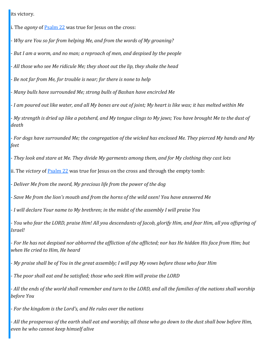its victory.

i. The *agony* of [Psalm 22](https://www.blueletterbible.org/kjv/psalms/22/1-31/s_500001) was true for Jesus on the cross:

- *Why are You so far from helping Me, and from the words of My groaning?*

- *But I am a worm, and no man; a reproach of men, and despised by the people*

- *All those who see Me ridicule Me; they shoot out the lip, they shake the head*

- *Be not far from Me, for trouble is near; for there is none to help*

- *Many bulls have surrounded Me; strong bulls of Bashan have encircled Me*

- *I am poured out like water, and all My bones are out of joint; My heart is like wax; it has melted within Me*

- *My strength is dried up like a potsherd, and My tongue clings to My jaws; You have brought Me to the dust of death*

- *For dogs have surrounded Me; the congregation of the wicked has enclosed Me. They pierced My hands and My feet*

- *They look and stare at Me. They divide My garments among them, and for My clothing they cast lots*

ii. The *victory* of [Psalm 22](https://www.blueletterbible.org/kjv/psalms/22/1-31/s_500001) was true for Jesus on the cross and through the empty tomb:

- *Deliver Me from the sword, My precious life from the power of the dog*

- *Save Me from the lion's mouth and from the horns of the wild oxen! You have answered Me*

- *I will declare Your name to My brethren; in the midst of the assembly I will praise You*

- *You who fear the LORD, praise Him! All you descendants of Jacob, glorify Him, and fear Him, all you offspring of Israel!*

- *For He has not despised nor abhorred the affliction of the afflicted; nor has He hidden His face from Him; but when He cried to Him, He heard*

- *My praise shall be of You in the great assembly; I will pay My vows before those who fear Him*

- *The poor shall eat and be satisfied; those who seek Him will praise the LORD*

- *All the ends of the world shall remember and turn to the LORD, and all the families of the nations shall worship before You*

- *For the kingdom is the Lord's, and He rules over the nations*

- *All the prosperous of the earth shall eat and worship; all those who go down to the dust shall bow before Him, even he who cannot keep himself alive*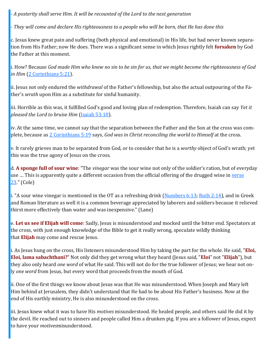- *A posterity shall serve Him. It will be recounted of the Lord to the next generation*

- *They will come and declare His righteousness to a people who will be born, that He has done this*

c. Jesus knew great pain and suffering (both physical and emotional) in His life, but had never known separation from His Father; now He does. There was a significant sense in which Jesus rightly felt **forsaken** by God the Father at this moment.

i. How? Because *God made Him who knew no sin to be sin for us, that we might become the righteousness of God in Him* ([2 Corinthians 5:21\)](https://www.blueletterbible.org/kjv/2corinthians/5/21/s_1083021).

ii. Jesus not only endured the *withdrawal* of the Father's fellowship, but also the actual outpouring of the Father's *wrath* upon Him as a substitute for sinful humanity.

iii. Horrible as this was, it fulfilled God's good and loving plan of redemption. Therefore, Isaiah can say *Yet it pleased the Lord to bruise Him* [\(Isaiah 53:10\).](https://www.blueletterbible.org/kjv/isaiah/53/10/s_732010)

iv. At the same time, we cannot say that the separation between the Father and the Son at the cross was complete, because as [2 Corinthians 5:19](https://www.blueletterbible.org/kjv/2corinthians/5/19/s_1083019) says, *God was in Christ reconciling the world to Himself* at the cross.

v. It rarely grieves man to be separated from God, or to consider that he is a *worthy* object of God's wrath; yet this was the true agony of Jesus on the cross.

d. **A sponge full of sour wine**: "The *vinegar* was the sour wine not only of the soldier's ration, but of everyday use … This is apparently quite a different occasion from the official offering of the drugged wine in [verse](https://www.blueletterbible.org/kjv/mark/15/23/s_972023)  [23.](https://www.blueletterbible.org/kjv/mark/15/23/s_972023)" (Cole)

i. "A sour wine vinegar is mentioned in the OT as a refreshing drink [\(Numbers 6:13;](https://www.blueletterbible.org/kjv/numbers/6/13/s_123013) [Ruth 2:14\)](https://www.blueletterbible.org/kjv/ruth/2/14/s_234014), and in Greek and Roman literature as well it is a common beverage appreciated by laborers and soldiers because it relieved thirst more effectively than water and was inexpensive." (Lane)

e. **Let us see if Elijah will come**: Sadly, Jesus is misunderstood and mocked until the bitter end. Spectators at the cross, with just enough knowledge of the Bible to get it really wrong, speculate wildly thinking that **Elijah** may come and rescue Jesus.

i. As Jesus hung on the cross, His listeners misunderstood Him by taking the part for the whole. He said, "**Eloi, Eloi, lama sabachthani?**" Not only did they get wrong what they heard (Jesus said, "**Eloi**" not "**Elijah**"), but they also only heard *one word* of what He said. This will not do for the true follower of Jesus; we hear not only *one word* from Jesus, but every word that proceeds from the mouth of God.

ii. One of the first things we know about Jesus was that He was misunderstood. When Joseph and Mary left Him behind at Jerusalem, they didn't understand that He had to be about His Father's business. Now at the end of His earthly ministry, He is also misunderstood on the cross.

iii. Jesus knew what it was to have His *motives* misunderstood. He healed people, and others said He did it by the devil. He reached out to sinners and people called Him a drunken pig. If you are a follower of Jesus, expect to have your *motives*misunderstood.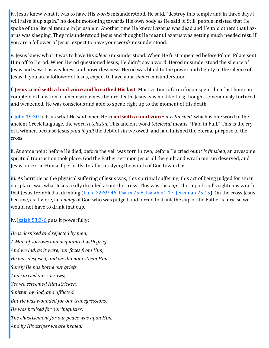iv. Jesus knew what it was to have His *words* misunderstood. He said, "destroy this temple and in three days I will raise it up again," no doubt motioning towards His own body as He said it. Still, people insisted that He spoke of the literal temple in Jerusalem. Another time He knew Lazarus was dead and He told others that Lazarus was sleeping. They misunderstood Jesus and thought He meant Lazarus was getting much needed rest. If you are a follower of Jesus, expect to have your *words* misunderstood.

v. Jesus knew what it was to have His *silence* misunderstood. When He first appeared before Pilate, Pilate sent Him off to Herod. When Herod questioned Jesus, He didn't say a word. Herod misunderstood the silence of Jesus and saw it as weakness and powerlessness. Herod was blind to the power and dignity in the silence of Jesus. If you are a follower of Jesus, expect to have your *silence* misunderstood.

f. **Jesus cried with a loud voice and breathed His last**: Most victims of crucifixion spent their last hours in complete exhaustion or unconsciousness before death. Jesus was not like this; though tremendously tortured and weakened, He was conscious and able to speak right up to the moment of His death.

i. [John 19:30](https://www.blueletterbible.org/kjv/john/19/30/s_1016030) tells us what He said when He **cried with a loud voice**: *it is finished*, which is one word in the ancient Greek language, the word *tetelestai*. This ancient word *tetelestai* means, "Paid in Full." This is the cry of a winner, because Jesus *paid in full* the debt of sin we owed, and had finished the eternal purpose of the cross.

ii. At some point before He died, before the veil was torn in two, before He cried out *it is finished*, an awesome spiritual transaction took place. God the Father set upon Jesus all the guilt and wrath our sin deserved, and Jesus bore it in Himself perfectly, totally satisfying the wrath of God toward us.

iii. As horrible as the physical suffering of Jesus was, this spiritual suffering, this act of being judged for sin in our place, was what Jesus really dreaded about the cross. This was the *cup* - the cup of God's righteous wrath - that Jesus trembled at drinking [\(Luke 22:39](https://www.blueletterbible.org/kjv/luke/22/39-46/s_995039)-46, [Psalm 75:8,](https://www.blueletterbible.org/kjv/psalms/75/8/s_553008) [Isaiah 51:17,](https://www.blueletterbible.org/kjv/isaiah/51/17/s_730017) [Jeremiah 25:15\).](https://www.blueletterbible.org/kjv/jeremiah/25/15/s_770015) On the cross Jesus became, as it were, an *enemy* of God who was judged and forced to drink the cup of the Father's fury, so we would not have to drink that cup.

iv. [Isaiah 53:3](https://www.blueletterbible.org/kjv/isaiah/53/3-6/s_732003)-6 puts it powerfully:

*He is despised and rejected by men, A Man of sorrows and acquainted with grief. And we hid, as it were, our faces from Him; He was despised, and we did not esteem Him. Surely He has borne our griefs And carried our sorrows; Yet we esteemed Him stricken, Smitten by God, and afflicted. But He was wounded for our transgressions, He was bruised for our iniquities; The chastisement for our peace was upon Him, And by His stripes we are healed.*